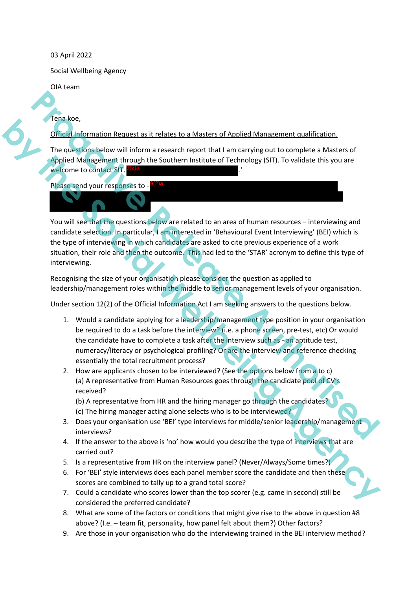## 03 April 2022

Social Wellbeing Agency

OIA team

Tena koe,

Official Information Request as it relates to a Masters of Applied Management qualification.

The questions below will inform a research report that I am carrying out to complete a Masters of Applied Management through the Southern Institute of Technology (SIT). To validate this you are welcome to contact SIT. 9(2)a

Please send your responses to - 9(2)a

You will see that the questions below are related to an area of human resources - interviewing and candidate selection. In particular, I am interested in 'Behavioural Event Interviewing' (BEI) which is the type of interviewing in which candidates are asked to cite previous experience of a work situation, their role and then the outcome. This had led to the 'STAR' acronym to define this type of interviewing. **Probably the matter of the matter of the matter of the matter of the sylet of the sylet of the sylet of the sylet of the sylet of the sylet of the sylet of the sylet of the sylet of the sylet of the sylet of the sylet of** Figure 1.1<br>
Collais and Committen Request as it relates to a Massiers of Applied Management qualification,<br>
The questions below will inform a research report that i am carrying out to complete a Masters of<br>
Agency Meanweig

Recognising the size of your organisation please consider the question as applied to leadership/management roles within the middle to senior management levels of your organisation.

Under section 12(2) of the Official Information Act I am seeking answers to the questions below.

- 1. Would a candidate applying for a leadership/management type position in your organisation be required to do a task before the interview? (i.e. a phone screen, pre-test, etc) Or would the candidate have to complete a task after the interview such as - an aptitude test, numeracy/literacy or psychological profiling? Or are the interview and reference checking essentially the total recruitment process?
- 2. How are applicants chosen to be interviewed? (See the options below from a to c) (a) A representative from Human Resources goes through the candidate pool of CV's received?

(b) A representative from HR and the hiring manager go through the candidates? (c) The hiring manager acting alone selects who is to be interviewed?

- 3. Does your organisation use 'BEI' type interviews for middle/senior leadership/management interviews?
- 4. If the answer to the above is 'no' how would you describe the type of interviews that are carried out?
- 5. Is a representative from HR on the interview panel? (Never/Always/Some times?)
- 6. For 'BEI' style interviews does each panel member score the candidate and then these scores are combined to tally up to a grand total score?
- 7. Could a candidate who scores lower than the top scorer (e.g. came in second) still be considered the preferred candidate?
- 8. What are some of the factors or conditions that might give rise to the above in question #8 above? (I.e. – team fit, personality, how panel felt about them?) Other factors?
- 9. Are those in your organisation who do the interviewing trained in the BEI interview method?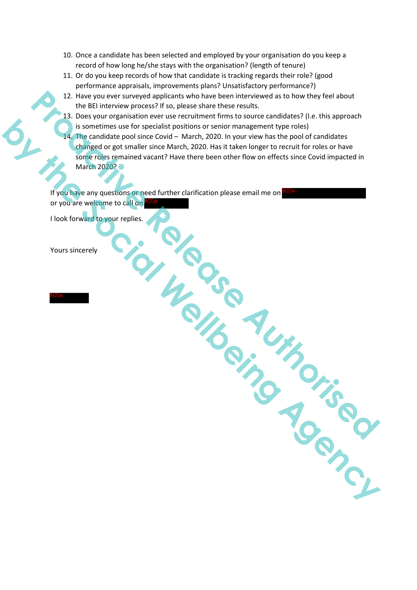- 10. Once a candidate has been selected and employed by your organisation do you keep a record of how long he/she stays with the organisation? (length of tenure)
- 11. Or do you keep records of how that candidate is tracking regards their role? (good performance appraisals, improvements plans? Unsatisfactory performance?)
- 12. Have you ever surveyed applicants who have been interviewed as to how they feel about the BEI interview process? If so, please share these results.
- 13. Does your organisation ever use recruitment firms to source candidates? (I.e. this approach is sometimes use for specialist positions or senior management type roles)
- 14. The candidate pool since Covid March, 2020. In your view has the pool of candidates changed or got smaller since March, 2020. Has it taken longer to recruit for roles or have some roles remained vacant? Have there been other flow on effects since Covid impacted in March 2020? C 12. Have you ever surveyed applicants who have been interviewed as to how they teel about<br>the BEI interview process? If so please share these results.<br> **PRODUCE AUTHORITY (PROPER COVER CONTRACT AUTHORITY CONTRACT AUTHORITY by the society of the Society of the Society and the Society of the Society of the Society of the Society of the Society of the Society of the Society of the Society of the Society of the Society of the Society of the Soc**

If you have any questions or need further clarification please email me on or you are welcome to call on 9(2)a 9(2)a

I look forward to your replies.

Yours sincerely

9(2)a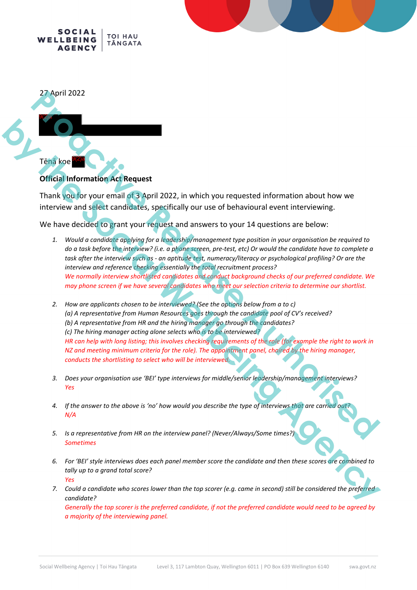



## **Official Information Act Request**

Thank you for your email of 3 April 2022, in which you requested information about how we interview and select candidates, specifically our use of behavioural event interviewing.

We have decided to grant your request and answers to your 14 questions are below:

- *1. Would a candidate applying for a leadership/management type position in your organisation be required to do a task before the interview? (i.e. a phone screen, pre-test, etc) Or would the candidate have to complete a task after the interview such as - an aptitude test, numeracy/literacy or psychological profiling? Or are the interview and reference checking essentially the total recruitment process? We normally interview shortlisted candidates and conduct background checks of our preferred candidate. We may phone screen if we have several candidates who meet our selection criteria to determine our shortlist.*
- *2. How are applicants chosen to be interviewed? (See the options below from a to c) (a) A representative from Human Resources goes through the candidate pool of CV's received? (b) A representative from HR and the hiring manager go through the candidates? (c) The hiring manager acting alone selects who is to be interviewed? HR can help with long listing; this involves checking requirements of the role (for example the right to work in NZ and meeting minimum criteria for the role). The appointment panel, chaired by the hiring manager, conducts the shortlisting to select who will be interviewed.* **Profit 2022**<br> **Propriet 2022**<br> **Propriet 2022**<br> **Propriet 2022**<br> **Propriet 2022**<br> **Propriet 2022**<br> **Propriet 2022**<br> **Propriet 2022**<br> **Propriet 2022**<br> **Propriet 2022**<br> **Propriet 2022**<br> **Propriet 2022**<br> **Propriet 2022**<br> **Pr by the Control Control Control Control Control Control Control Control Control Control Control Control Control Control Control Control Control Control Control Control Control Control Control Control Control Control Contro** 
	- *3. Does your organisation use 'BEI' type interviews for middle/senior leadership/management interviews? Yes*
	- *4. If the answer to the above is 'no' how would you describe the type of interviews that are carried out? N/A*
	- *5. Is a representative from HR on the interview panel? (Never/Always/Some times?) Sometimes*
	- *6. For 'BEI' style interviews does each panel member score the candidate and then these scores are combined to tally up to a grand total score? Yes*
	- *7. Could a candidate who scores lower than the top scorer (e.g. came in second) still be considered the preferred candidate?*

*Generally the top scorer is the preferred candidate, if not the preferred candidate would need to be agreed by a majority of the interviewing panel.*